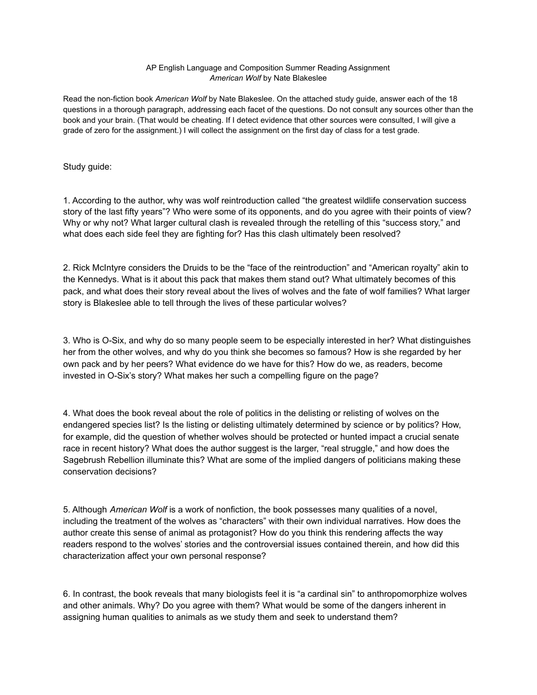## AP English Language and Composition Summer Reading Assignment *American Wolf* by Nate Blakeslee

Read the non-fiction book *American Wolf* by Nate Blakeslee. On the attached study guide, answer each of the 18 questions in a thorough paragraph, addressing each facet of the questions. Do not consult any sources other than the book and your brain. (That would be cheating. If I detect evidence that other sources were consulted, I will give a grade of zero for the assignment.) I will collect the assignment on the first day of class for a test grade.

Study guide:

1. According to the author, why was wolf reintroduction called "the greatest wildlife conservation success story of the last fifty years"? Who were some of its opponents, and do you agree with their points of view? Why or why not? What larger cultural clash is revealed through the retelling of this "success story," and what does each side feel they are fighting for? Has this clash ultimately been resolved?

2. Rick McIntyre considers the Druids to be the "face of the reintroduction" and "American royalty" akin to the Kennedys. What is it about this pack that makes them stand out? What ultimately becomes of this pack, and what does their story reveal about the lives of wolves and the fate of wolf families? What larger story is Blakeslee able to tell through the lives of these particular wolves?

3. Who is O-Six, and why do so many people seem to be especially interested in her? What distinguishes her from the other wolves, and why do you think she becomes so famous? How is she regarded by her own pack and by her peers? What evidence do we have for this? How do we, as readers, become invested in O-Six's story? What makes her such a compelling figure on the page?

4. What does the book reveal about the role of politics in the delisting or relisting of wolves on the endangered species list? Is the listing or delisting ultimately determined by science or by politics? How, for example, did the question of whether wolves should be protected or hunted impact a crucial senate race in recent history? What does the author suggest is the larger, "real struggle," and how does the Sagebrush Rebellion illuminate this? What are some of the implied dangers of politicians making these conservation decisions?

5. Although *American Wolf* is a work of nonfiction, the book possesses many qualities of a novel, including the treatment of the wolves as "characters" with their own individual narratives. How does the author create this sense of animal as protagonist? How do you think this rendering affects the way readers respond to the wolves' stories and the controversial issues contained therein, and how did this characterization affect your own personal response?

6. In contrast, the book reveals that many biologists feel it is "a cardinal sin" to anthropomorphize wolves and other animals. Why? Do you agree with them? What would be some of the dangers inherent in assigning human qualities to animals as we study them and seek to understand them?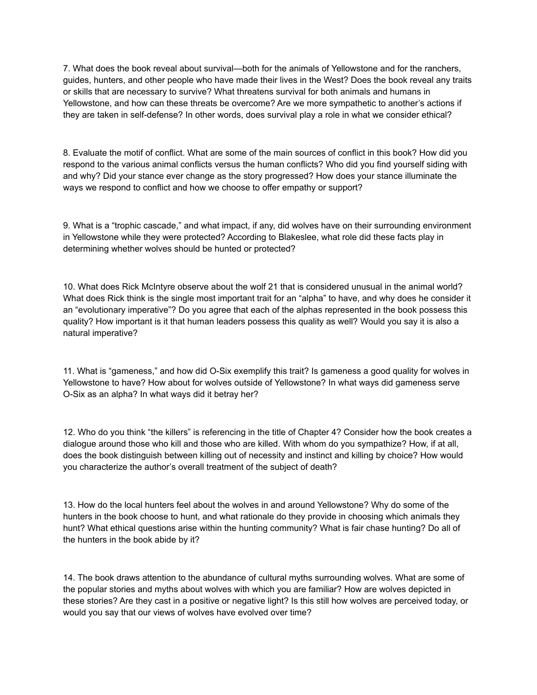7. What does the book reveal about survival—both for the animals of Yellowstone and for the ranchers, guides, hunters, and other people who have made their lives in the West? Does the book reveal any traits or skills that are necessary to survive? What threatens survival for both animals and humans in Yellowstone, and how can these threats be overcome? Are we more sympathetic to another's actions if they are taken in self-defense? In other words, does survival play a role in what we consider ethical?

8. Evaluate the motif of conflict. What are some of the main sources of conflict in this book? How did you respond to the various animal conflicts versus the human conflicts? Who did you find yourself siding with and why? Did your stance ever change as the story progressed? How does your stance illuminate the ways we respond to conflict and how we choose to offer empathy or support?

9. What is a "trophic cascade," and what impact, if any, did wolves have on their surrounding environment in Yellowstone while they were protected? According to Blakeslee, what role did these facts play in determining whether wolves should be hunted or protected?

10. What does Rick McIntyre observe about the wolf 21 that is considered unusual in the animal world? What does Rick think is the single most important trait for an "alpha" to have, and why does he consider it an "evolutionary imperative"? Do you agree that each of the alphas represented in the book possess this quality? How important is it that human leaders possess this quality as well? Would you say it is also a natural imperative?

11. What is "gameness," and how did O-Six exemplify this trait? Is gameness a good quality for wolves in Yellowstone to have? How about for wolves outside of Yellowstone? In what ways did gameness serve O-Six as an alpha? In what ways did it betray her?

12. Who do you think "the killers" is referencing in the title of Chapter 4? Consider how the book creates a dialogue around those who kill and those who are killed. With whom do you sympathize? How, if at all, does the book distinguish between killing out of necessity and instinct and killing by choice? How would you characterize the author's overall treatment of the subject of death?

13. How do the local hunters feel about the wolves in and around Yellowstone? Why do some of the hunters in the book choose to hunt, and what rationale do they provide in choosing which animals they hunt? What ethical questions arise within the hunting community? What is fair chase hunting? Do all of the hunters in the book abide by it?

14. The book draws attention to the abundance of cultural myths surrounding wolves. What are some of the popular stories and myths about wolves with which you are familiar? How are wolves depicted in these stories? Are they cast in a positive or negative light? Is this still how wolves are perceived today, or would you say that our views of wolves have evolved over time?